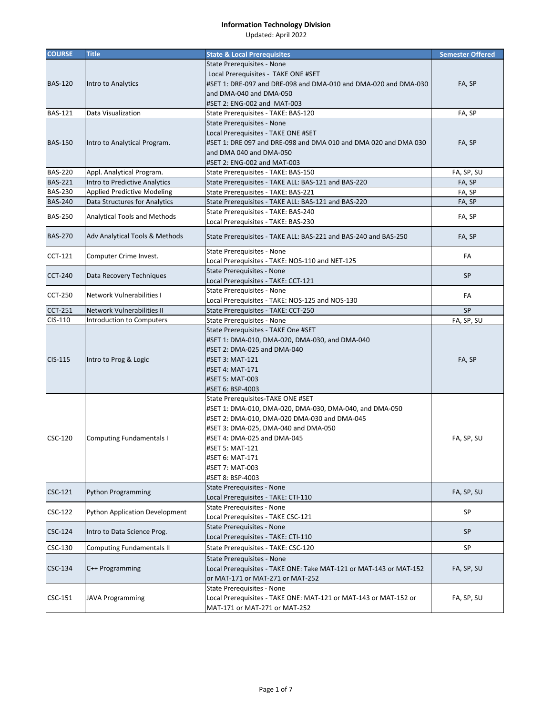| <b>COURSE</b>  | <b>Title</b>                       | <b>State &amp; Local Prerequisites</b>                             | <b>Semester Offered</b> |
|----------------|------------------------------------|--------------------------------------------------------------------|-------------------------|
|                |                                    | State Prerequisites - None                                         |                         |
|                |                                    | Local Prerequisites - TAKE ONE #SET                                |                         |
| <b>BAS-120</b> | Intro to Analytics                 | #SET 1: DRE-097 and DRE-098 and DMA-010 and DMA-020 and DMA-030    | FA, SP                  |
|                |                                    | and DMA-040 and DMA-050                                            |                         |
|                |                                    | #SET 2: ENG-002 and MAT-003                                        |                         |
| <b>BAS-121</b> | Data Visualization                 | State Prerequisites - TAKE: BAS-120                                | FA, SP                  |
|                |                                    | State Prerequisites - None                                         |                         |
|                |                                    | Local Prerequisites - TAKE ONE #SET                                |                         |
| <b>BAS-150</b> | Intro to Analytical Program.       | #SET 1: DRE 097 and DRE-098 and DMA 010 and DMA 020 and DMA 030    | FA, SP                  |
|                |                                    | and DMA 040 and DMA-050                                            |                         |
|                |                                    | #SET 2: ENG-002 and MAT-003                                        |                         |
| <b>BAS-220</b> | Appl. Analytical Program.          | State Prerequisites - TAKE: BAS-150                                | FA, SP, SU              |
| <b>BAS-221</b> | Intro to Predictive Analytics      | State Prerequisites - TAKE ALL: BAS-121 and BAS-220                | FA, SP                  |
| <b>BAS-230</b> | <b>Applied Predictive Modeling</b> | State Prerequisites - TAKE: BAS-221                                | FA, SP                  |
| <b>BAS-240</b> | Data Structures for Analytics      | State Prerequisites - TAKE ALL: BAS-121 and BAS-220                | FA, SP                  |
| <b>BAS-250</b> | Analytical Tools and Methods       | State Prerequisites - TAKE: BAS-240                                | FA, SP                  |
|                |                                    | Local Prerequisites - TAKE: BAS-230                                |                         |
| <b>BAS-270</b> | Adv Analytical Tools & Methods     | State Prerequisites - TAKE ALL: BAS-221 and BAS-240 and BAS-250    | FA, SP                  |
|                |                                    | <b>State Prerequisites - None</b>                                  | FA                      |
| <b>CCT-121</b> | Computer Crime Invest.             | Local Prerequisites - TAKE: NOS-110 and NET-125                    |                         |
| <b>CCT-240</b> | Data Recovery Techniques           | State Prerequisites - None                                         | <b>SP</b>               |
|                |                                    | Local Prerequisites - TAKE: CCT-121                                |                         |
| <b>CCT-250</b> | Network Vulnerabilities I          | State Prerequisites - None                                         | FA                      |
|                |                                    | Local Prerequisites - TAKE: NOS-125 and NOS-130                    |                         |
| <b>CCT-251</b> | Network Vulnerabilities II         | State Prerequisites - TAKE: CCT-250                                | <b>SP</b>               |
| CIS-110        | Introduction to Computers          | State Prerequisites - None                                         | FA, SP, SU              |
|                |                                    | State Prerequisites - TAKE One #SET                                |                         |
|                |                                    | #SET 1: DMA-010, DMA-020, DMA-030, and DMA-040                     |                         |
|                |                                    | #SET 2: DMA-025 and DMA-040                                        | FA, SP                  |
| CIS-115        | Intro to Prog & Logic              | #SET 3: MAT-121                                                    |                         |
|                |                                    | #SET 4: MAT-171                                                    |                         |
|                |                                    | #SET 5: MAT-003                                                    |                         |
|                |                                    | #SET 6: BSP-4003                                                   |                         |
|                |                                    | State Prerequisites-TAKE ONE #SET                                  |                         |
|                |                                    | #SET 1: DMA-010, DMA-020, DMA-030, DMA-040, and DMA-050            |                         |
|                |                                    | #SET 2: DMA-010, DMA-020 DMA-030 and DMA-045                       |                         |
|                |                                    | #SET 3: DMA-025, DMA-040 and DMA-050                               |                         |
| CSC-120        | <b>Computing Fundamentals I</b>    | #SET 4: DMA-025 and DMA-045                                        | FA, SP, SU              |
|                |                                    | #SET 5: MAT-121                                                    |                         |
|                |                                    | #SET 6: MAT-171                                                    |                         |
|                |                                    | #SET 7: MAT-003                                                    |                         |
|                |                                    | #SET 8: BSP-4003                                                   |                         |
| CSC-121        | <b>Python Programming</b>          | State Prerequisites - None                                         | FA, SP, SU              |
|                |                                    | Local Prerequisites - TAKE: CTI-110                                |                         |
| CSC-122        | Python Application Development     | State Prerequisites - None                                         | SP                      |
|                |                                    | Local Prerequisites - TAKE CSC-121                                 |                         |
| CSC-124        | Intro to Data Science Prog.        | State Prerequisites - None                                         | <b>SP</b>               |
|                |                                    | Local Prerequisites - TAKE: CTI-110                                |                         |
| CSC-130        | <b>Computing Fundamentals II</b>   | State Prerequisites - TAKE: CSC-120                                | SP                      |
|                |                                    | State Prerequisites - None                                         |                         |
| CSC-134        | C++ Programming                    | Local Prerequisites - TAKE ONE: Take MAT-121 or MAT-143 or MAT-152 | FA, SP, SU              |
|                |                                    | or MAT-171 or MAT-271 or MAT-252                                   |                         |
|                |                                    | State Prerequisites - None                                         |                         |
| CSC-151        | <b>JAVA Programming</b>            | Local Prerequisites - TAKE ONE: MAT-121 or MAT-143 or MAT-152 or   | FA, SP, SU              |
|                |                                    | MAT-171 or MAT-271 or MAT-252                                      |                         |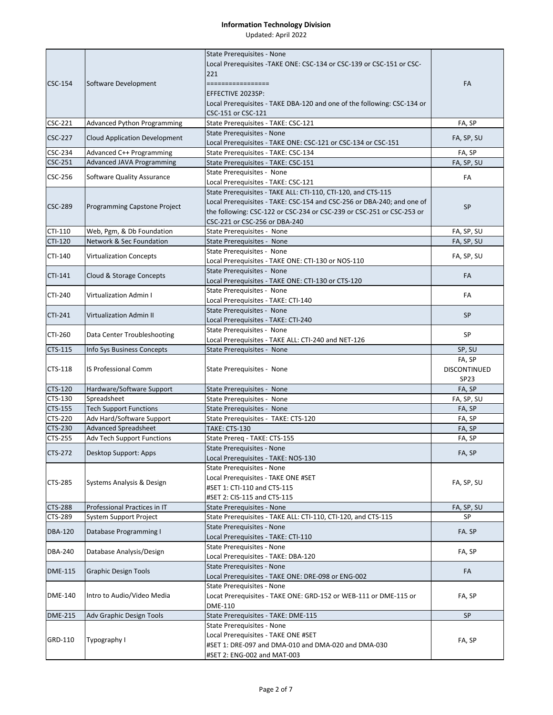|                |                                      | State Prerequisites - None<br>Local Prerequisites - TAKE ONE: CSC-134 or CSC-139 or CSC-151 or CSC-<br>221                                                                                                                                        |                                                   |
|----------------|--------------------------------------|---------------------------------------------------------------------------------------------------------------------------------------------------------------------------------------------------------------------------------------------------|---------------------------------------------------|
| CSC-154        | Software Development                 | =================<br>EFFECTIVE 2023SP:                                                                                                                                                                                                            | FA                                                |
|                |                                      | Local Prerequisites - TAKE DBA-120 and one of the following: CSC-134 or<br>CSC-151 or CSC-121                                                                                                                                                     |                                                   |
| CSC-221        | <b>Advanced Python Programming</b>   | State Prerequisites - TAKE: CSC-121                                                                                                                                                                                                               | FA, SP                                            |
| <b>CSC-227</b> | <b>Cloud Application Development</b> | State Prerequisites - None<br>Local Prerequisites - TAKE ONE: CSC-121 or CSC-134 or CSC-151                                                                                                                                                       | FA, SP, SU                                        |
| CSC-234        | Advanced C++ Programming             | State Prerequisites - TAKE: CSC-134                                                                                                                                                                                                               | FA, SP                                            |
| CSC-251        | Advanced JAVA Programming            | State Prerequisites - TAKE: CSC-151                                                                                                                                                                                                               | FA, SP, SU                                        |
|                |                                      | State Prerequisites - None                                                                                                                                                                                                                        |                                                   |
| CSC-256        | Software Quality Assurance           | Local Prerequisites - TAKE: CSC-121                                                                                                                                                                                                               | FA                                                |
| <b>CSC-289</b> | Programming Capstone Project         | State Prerequisites - TAKE ALL: CTI-110, CTI-120, and CTS-115<br>Local Prerequisites - TAKE: CSC-154 and CSC-256 or DBA-240; and one of<br>the following: CSC-122 or CSC-234 or CSC-239 or CSC-251 or CSC-253 or<br>CSC-221 or CSC-256 or DBA-240 | SP                                                |
| CTI-110        | Web, Pgm, & Db Foundation            | State Prerequisites - None                                                                                                                                                                                                                        | FA, SP, SU                                        |
| CTI-120        | <b>Network &amp; Sec Foundation</b>  | State Prerequisites - None                                                                                                                                                                                                                        | FA, SP, SU                                        |
| CTI-140        | <b>Virtualization Concepts</b>       | State Prerequisites - None                                                                                                                                                                                                                        | FA, SP, SU                                        |
|                |                                      | Local Prerequisites - TAKE ONE: CTI-130 or NOS-110                                                                                                                                                                                                |                                                   |
| CTI-141        | Cloud & Storage Concepts             | State Prerequisites - None<br>Local Prerequisites - TAKE ONE: CTI-130 or CTS-120                                                                                                                                                                  | FA                                                |
| CTI-240        | <b>Virtualization Admin I</b>        | State Prerequisites - None                                                                                                                                                                                                                        | FA                                                |
|                |                                      | Local Prerequisites - TAKE: CTI-140<br>State Prerequisites - None                                                                                                                                                                                 |                                                   |
| CTI-241        | <b>Virtualization Admin II</b>       | Local Prerequisites - TAKE: CTI-240                                                                                                                                                                                                               | <b>SP</b>                                         |
| CTI-260        | Data Center Troubleshooting          | State Prerequisites - None<br>Local Prerequisites - TAKE ALL: CTI-240 and NET-126                                                                                                                                                                 | SP                                                |
| CTS-115        | Info Sys Business Concepts           | State Prerequisites - None                                                                                                                                                                                                                        | SP, SU                                            |
| CTS-118        | <b>IS Professional Comm</b>          | State Prerequisites - None                                                                                                                                                                                                                        | FA, SP<br><b>DISCONTINUED</b><br>SP <sub>23</sub> |
| <b>CTS-120</b> | Hardware/Software Support            | State Prerequisites - None                                                                                                                                                                                                                        | FA, SP                                            |
| CTS-130        | Spreadsheet                          | State Prerequisites - None                                                                                                                                                                                                                        | FA, SP, SU                                        |
| CTS-155        | <b>Tech Support Functions</b>        | State Prerequisites - None                                                                                                                                                                                                                        | FA, SP                                            |
| CTS-220        | Adv Hard/Software Support            | State Prerequisites - TAKE: CTS-120                                                                                                                                                                                                               | FA, SP                                            |
| CTS-230        | <b>Advanced Spreadsheet</b>          | <b>TAKE: CTS-130</b>                                                                                                                                                                                                                              | FA, SP                                            |
| CTS-255        | <b>Adv Tech Support Functions</b>    | State Prereq - TAKE: CTS-155                                                                                                                                                                                                                      | FA, SP                                            |
| CTS-272        | Desktop Support: Apps                | State Prerequisites - None<br>Local Prerequisites - TAKE: NOS-130                                                                                                                                                                                 | FA, SP                                            |
|                |                                      | State Prerequisites - None<br>Local Prerequisites - TAKE ONE #SET                                                                                                                                                                                 |                                                   |
| CTS-285        | Systems Analysis & Design            | #SET 1: CTI-110 and CTS-115                                                                                                                                                                                                                       | FA, SP, SU                                        |
|                |                                      | #SET 2: CIS-115 and CTS-115                                                                                                                                                                                                                       |                                                   |
| <b>CTS-288</b> | Professional Practices in IT         | State Prerequisites - None                                                                                                                                                                                                                        | FA, SP, SU<br>SP                                  |
| CTS-289        | System Support Project               | State Prerequisites - TAKE ALL: CTI-110, CTI-120, and CTS-115<br><b>State Prerequisites - None</b>                                                                                                                                                |                                                   |
| <b>DBA-120</b> | Database Programming I               | Local Prerequisites - TAKE: CTI-110                                                                                                                                                                                                               | FA.SP                                             |
| <b>DBA-240</b> | Database Analysis/Design             | State Prerequisites - None<br>Local Prerequisites - TAKE: DBA-120                                                                                                                                                                                 | FA, SP                                            |
| <b>DME-115</b> | <b>Graphic Design Tools</b>          | State Prerequisites - None<br>Local Prerequisites - TAKE ONE: DRE-098 or ENG-002                                                                                                                                                                  | FA                                                |
|                |                                      | State Prerequisites - None                                                                                                                                                                                                                        |                                                   |
| <b>DME-140</b> | Intro to Audio/Video Media           | Locat Prerequisites - TAKE ONE: GRD-152 or WEB-111 or DME-115 or<br><b>DME-110</b>                                                                                                                                                                | FA, SP                                            |
| <b>DME-215</b> | Adv Graphic Design Tools             | State Prerequisites - TAKE: DME-115                                                                                                                                                                                                               | <b>SP</b>                                         |
|                |                                      | State Prerequisites - None                                                                                                                                                                                                                        |                                                   |
| GRD-110        | Typography I                         | Local Prerequisites - TAKE ONE #SET<br>#SET 1: DRE-097 and DMA-010 and DMA-020 and DMA-030<br>#SET 2: ENG-002 and MAT-003                                                                                                                         | FA, SP                                            |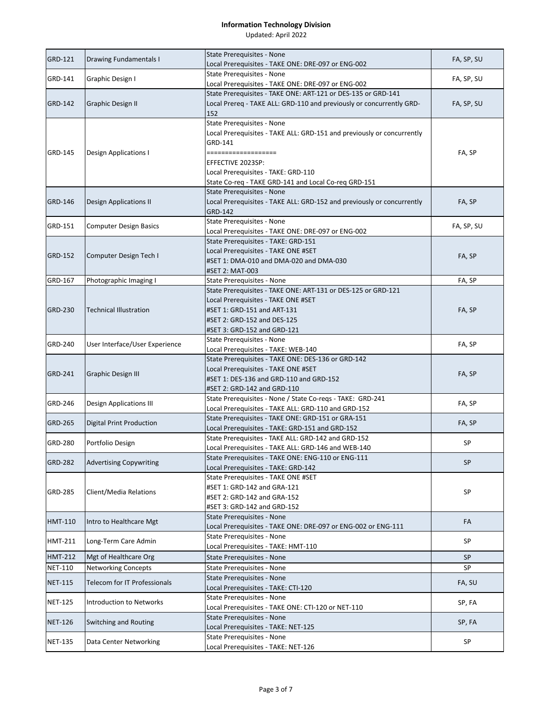|                |                                     | <b>State Prerequisites - None</b>                                                 |            |
|----------------|-------------------------------------|-----------------------------------------------------------------------------------|------------|
| <b>GRD-121</b> | Drawing Fundamentals I              | Local Prerequisites - TAKE ONE: DRE-097 or ENG-002                                | FA, SP, SU |
| GRD-141        | Graphic Design I                    | State Prerequisites - None                                                        | FA, SP, SU |
|                |                                     | Local Prerequisites - TAKE ONE: DRE-097 or ENG-002                                |            |
|                |                                     | State Prerequisites - TAKE ONE: ART-121 or DES-135 or GRD-141                     |            |
| GRD-142        | <b>Graphic Design II</b>            | Local Prereq - TAKE ALL: GRD-110 and previously or concurrently GRD-              | FA, SP, SU |
|                |                                     | 152                                                                               |            |
|                |                                     | State Prerequisites - None                                                        |            |
|                |                                     | Local Prerequisites - TAKE ALL: GRD-151 and previously or concurrently            |            |
|                |                                     | GRD-141                                                                           |            |
| GRD-145        | Design Applications I               | ===================                                                               | FA, SP     |
|                |                                     | EFFECTIVE 2023SP:                                                                 |            |
|                |                                     | Local Prerequisites - TAKE: GRD-110                                               |            |
|                |                                     | State Co-req - TAKE GRD-141 and Local Co-req GRD-151                              |            |
| <b>GRD-146</b> | <b>Design Applications II</b>       | <b>State Prerequisites - None</b>                                                 | FA, SP     |
|                |                                     | Local Prerequisites - TAKE ALL: GRD-152 and previously or concurrently<br>GRD-142 |            |
|                |                                     | State Prerequisites - None                                                        |            |
| GRD-151        | <b>Computer Design Basics</b>       | Local Prerequisites - TAKE ONE: DRE-097 or ENG-002                                | FA, SP, SU |
|                |                                     | State Prerequisites - TAKE: GRD-151                                               |            |
|                |                                     | Local Prerequisites - TAKE ONE #SET                                               |            |
| <b>GRD-152</b> | Computer Design Tech I              | #SET 1: DMA-010 and DMA-020 and DMA-030                                           | FA, SP     |
|                |                                     | #SET 2: MAT-003                                                                   |            |
| GRD-167        | Photographic Imaging I              | State Prerequisites - None                                                        | FA, SP     |
|                |                                     | State Prerequisites - TAKE ONE: ART-131 or DES-125 or GRD-121                     |            |
|                |                                     | Local Prerequisites - TAKE ONE #SET                                               |            |
| <b>GRD-230</b> | <b>Technical Illustration</b>       | #SET 1: GRD-151 and ART-131                                                       | FA, SP     |
|                |                                     | #SET 2: GRD-152 and DES-125                                                       |            |
|                |                                     | #SET 3: GRD-152 and GRD-121                                                       |            |
|                |                                     | State Prerequisites - None                                                        |            |
| GRD-240        | User Interface/User Experience      | Local Prerequisites - TAKE: WEB-140                                               | FA, SP     |
|                |                                     | State Prerequisites - TAKE ONE: DES-136 or GRD-142                                |            |
| <b>GRD-241</b> | <b>Graphic Design III</b>           | Local Prerequisites - TAKE ONE #SET                                               |            |
|                |                                     | #SET 1: DES-136 and GRD-110 and GRD-152                                           | FA, SP     |
|                |                                     | #SET 2: GRD-142 and GRD-110                                                       |            |
| GRD-246        | Design Applications III             | State Prerequisites - None / State Co-regs - TAKE: GRD-241                        | FA, SP     |
|                |                                     | Local Prerequisites - TAKE ALL: GRD-110 and GRD-152                               |            |
| <b>GRD-265</b> | <b>Digital Print Production</b>     | State Prerequisites - TAKE ONE: GRD-151 or GRA-151                                | FA, SP     |
|                |                                     | Local Prerequisites - TAKE: GRD-151 and GRD-152                                   |            |
| <b>GRD-280</b> | Portfolio Design                    | State Prerequisites - TAKE ALL: GRD-142 and GRD-152                               | SP         |
|                |                                     | Local Prerequisites - TAKE ALL: GRD-146 and WEB-140                               |            |
| <b>GRD-282</b> | <b>Advertising Copywriting</b>      | State Prerequisites - TAKE ONE: ENG-110 or ENG-111                                | SP         |
|                |                                     | Local Prerequisites - TAKE: GRD-142                                               |            |
|                |                                     | State Prerequisites - TAKE ONE #SET                                               |            |
| GRD-285        | Client/Media Relations              | #SET 1: GRD-142 and GRA-121                                                       | SP         |
|                |                                     | #SET 2: GRD-142 and GRA-152                                                       |            |
|                |                                     | #SET 3: GRD-142 and GRD-152<br>State Prerequisites - None                         |            |
| <b>HMT-110</b> | Intro to Healthcare Mgt             | Local Prerequisites - TAKE ONE: DRE-097 or ENG-002 or ENG-111                     | FA         |
|                |                                     | <b>State Prerequisites - None</b>                                                 |            |
| <b>HMT-211</b> | Long-Term Care Admin                | Local Prerequisites - TAKE: HMT-110                                               | SP         |
| <b>HMT-212</b> | Mgt of Healthcare Org               | State Prerequisites - None                                                        | <b>SP</b>  |
| <b>NET-110</b> | <b>Networking Concepts</b>          | State Prerequisites - None                                                        | SP         |
|                |                                     | State Prerequisites - None                                                        |            |
| <b>NET-115</b> | <b>Telecom for IT Professionals</b> | Local Prerequisites - TAKE: CTI-120                                               | FA, SU     |
|                |                                     | State Prerequisites - None                                                        |            |
| <b>NET-125</b> | <b>Introduction to Networks</b>     | Local Prerequisites - TAKE ONE: CTI-120 or NET-110                                | SP, FA     |
|                |                                     | State Prerequisites - None                                                        |            |
| <b>NET-126</b> | Switching and Routing               | Local Prerequisites - TAKE: NET-125                                               | SP, FA     |
|                |                                     | State Prerequisites - None                                                        |            |
| <b>NET-135</b> | Data Center Networking              | Local Prerequisites - TAKE: NET-126                                               | SP         |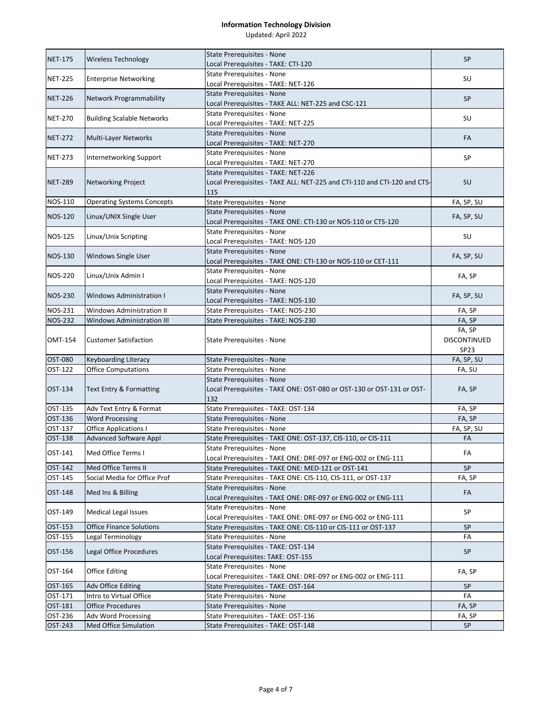| <b>State Prerequisites - None</b><br><b>NET-175</b><br><b>Wireless Technology</b><br>Local Prerequisites - TAKE: CTI-120<br>State Prerequisites - None<br><b>NET-225</b><br><b>Enterprise Networking</b><br>Local Prerequisites - TAKE: NET-126<br>State Prerequisites - None<br><b>NET-226</b><br>Network Programmability<br>Local Prerequisites - TAKE ALL: NET-225 and CSC-121<br>State Prerequisites - None<br><b>NET-270</b><br><b>Building Scalable Networks</b><br>Local Prerequisites - TAKE: NET-225<br>State Prerequisites - None<br><b>NET-272</b><br>Multi-Layer Networks<br>Local Prerequisites - TAKE: NET-270<br>State Prerequisites - None<br><b>NET-273</b><br>Internetworking Support<br>Local Prerequisites - TAKE: NET-270<br>State Prerequisites - TAKE: NET-226<br><b>NET-289</b><br>Networking Project<br>Local Prerequisites - TAKE ALL: NET-225 and CTI-110 and CTI-120 and CTS-<br>115<br>State Prerequisites - None<br><b>NOS-110</b><br><b>Operating Systems Concepts</b><br>State Prerequisites - None<br><b>NOS-120</b><br>Linux/UNIX Single User<br>Local Prerequisites - TAKE ONE: CTI-130 or NOS-110 or CTS-120<br><b>State Prerequisites - None</b><br><b>NOS-125</b><br>Linux/Unix Scripting<br>Local Prerequisites - TAKE: NOS-120<br>State Prerequisites - None<br><b>NOS-130</b><br><b>Windows Single User</b><br>Local Prerequisites - TAKE ONE: CTI-130 or NOS-110 or CET-111<br>State Prerequisites - None<br><b>NOS-220</b><br>Linux/Unix Admin I<br>Local Prerequisites - TAKE: NOS-120<br>State Prerequisites - None<br><b>NOS-230</b><br>Windows Administration I<br>Local Prerequisites - TAKE: NOS-130<br><b>NOS-231</b><br>State Prerequisites - TAKE: NOS-230<br>Windows Administration II | <b>SP</b><br>SU<br><b>SP</b><br>SU<br>FA<br>SP<br><b>SU</b><br>FA, SP, SU<br>FA, SP, SU<br>SU<br>FA, SP, SU<br>FA, SP |
|---------------------------------------------------------------------------------------------------------------------------------------------------------------------------------------------------------------------------------------------------------------------------------------------------------------------------------------------------------------------------------------------------------------------------------------------------------------------------------------------------------------------------------------------------------------------------------------------------------------------------------------------------------------------------------------------------------------------------------------------------------------------------------------------------------------------------------------------------------------------------------------------------------------------------------------------------------------------------------------------------------------------------------------------------------------------------------------------------------------------------------------------------------------------------------------------------------------------------------------------------------------------------------------------------------------------------------------------------------------------------------------------------------------------------------------------------------------------------------------------------------------------------------------------------------------------------------------------------------------------------------------------------------------------------------------------------------------------------------------------|-----------------------------------------------------------------------------------------------------------------------|
|                                                                                                                                                                                                                                                                                                                                                                                                                                                                                                                                                                                                                                                                                                                                                                                                                                                                                                                                                                                                                                                                                                                                                                                                                                                                                                                                                                                                                                                                                                                                                                                                                                                                                                                                             |                                                                                                                       |
|                                                                                                                                                                                                                                                                                                                                                                                                                                                                                                                                                                                                                                                                                                                                                                                                                                                                                                                                                                                                                                                                                                                                                                                                                                                                                                                                                                                                                                                                                                                                                                                                                                                                                                                                             |                                                                                                                       |
|                                                                                                                                                                                                                                                                                                                                                                                                                                                                                                                                                                                                                                                                                                                                                                                                                                                                                                                                                                                                                                                                                                                                                                                                                                                                                                                                                                                                                                                                                                                                                                                                                                                                                                                                             |                                                                                                                       |
|                                                                                                                                                                                                                                                                                                                                                                                                                                                                                                                                                                                                                                                                                                                                                                                                                                                                                                                                                                                                                                                                                                                                                                                                                                                                                                                                                                                                                                                                                                                                                                                                                                                                                                                                             |                                                                                                                       |
|                                                                                                                                                                                                                                                                                                                                                                                                                                                                                                                                                                                                                                                                                                                                                                                                                                                                                                                                                                                                                                                                                                                                                                                                                                                                                                                                                                                                                                                                                                                                                                                                                                                                                                                                             |                                                                                                                       |
|                                                                                                                                                                                                                                                                                                                                                                                                                                                                                                                                                                                                                                                                                                                                                                                                                                                                                                                                                                                                                                                                                                                                                                                                                                                                                                                                                                                                                                                                                                                                                                                                                                                                                                                                             |                                                                                                                       |
|                                                                                                                                                                                                                                                                                                                                                                                                                                                                                                                                                                                                                                                                                                                                                                                                                                                                                                                                                                                                                                                                                                                                                                                                                                                                                                                                                                                                                                                                                                                                                                                                                                                                                                                                             |                                                                                                                       |
|                                                                                                                                                                                                                                                                                                                                                                                                                                                                                                                                                                                                                                                                                                                                                                                                                                                                                                                                                                                                                                                                                                                                                                                                                                                                                                                                                                                                                                                                                                                                                                                                                                                                                                                                             |                                                                                                                       |
|                                                                                                                                                                                                                                                                                                                                                                                                                                                                                                                                                                                                                                                                                                                                                                                                                                                                                                                                                                                                                                                                                                                                                                                                                                                                                                                                                                                                                                                                                                                                                                                                                                                                                                                                             |                                                                                                                       |
|                                                                                                                                                                                                                                                                                                                                                                                                                                                                                                                                                                                                                                                                                                                                                                                                                                                                                                                                                                                                                                                                                                                                                                                                                                                                                                                                                                                                                                                                                                                                                                                                                                                                                                                                             |                                                                                                                       |
|                                                                                                                                                                                                                                                                                                                                                                                                                                                                                                                                                                                                                                                                                                                                                                                                                                                                                                                                                                                                                                                                                                                                                                                                                                                                                                                                                                                                                                                                                                                                                                                                                                                                                                                                             |                                                                                                                       |
|                                                                                                                                                                                                                                                                                                                                                                                                                                                                                                                                                                                                                                                                                                                                                                                                                                                                                                                                                                                                                                                                                                                                                                                                                                                                                                                                                                                                                                                                                                                                                                                                                                                                                                                                             |                                                                                                                       |
|                                                                                                                                                                                                                                                                                                                                                                                                                                                                                                                                                                                                                                                                                                                                                                                                                                                                                                                                                                                                                                                                                                                                                                                                                                                                                                                                                                                                                                                                                                                                                                                                                                                                                                                                             |                                                                                                                       |
|                                                                                                                                                                                                                                                                                                                                                                                                                                                                                                                                                                                                                                                                                                                                                                                                                                                                                                                                                                                                                                                                                                                                                                                                                                                                                                                                                                                                                                                                                                                                                                                                                                                                                                                                             |                                                                                                                       |
|                                                                                                                                                                                                                                                                                                                                                                                                                                                                                                                                                                                                                                                                                                                                                                                                                                                                                                                                                                                                                                                                                                                                                                                                                                                                                                                                                                                                                                                                                                                                                                                                                                                                                                                                             |                                                                                                                       |
|                                                                                                                                                                                                                                                                                                                                                                                                                                                                                                                                                                                                                                                                                                                                                                                                                                                                                                                                                                                                                                                                                                                                                                                                                                                                                                                                                                                                                                                                                                                                                                                                                                                                                                                                             |                                                                                                                       |
|                                                                                                                                                                                                                                                                                                                                                                                                                                                                                                                                                                                                                                                                                                                                                                                                                                                                                                                                                                                                                                                                                                                                                                                                                                                                                                                                                                                                                                                                                                                                                                                                                                                                                                                                             |                                                                                                                       |
|                                                                                                                                                                                                                                                                                                                                                                                                                                                                                                                                                                                                                                                                                                                                                                                                                                                                                                                                                                                                                                                                                                                                                                                                                                                                                                                                                                                                                                                                                                                                                                                                                                                                                                                                             |                                                                                                                       |
|                                                                                                                                                                                                                                                                                                                                                                                                                                                                                                                                                                                                                                                                                                                                                                                                                                                                                                                                                                                                                                                                                                                                                                                                                                                                                                                                                                                                                                                                                                                                                                                                                                                                                                                                             |                                                                                                                       |
|                                                                                                                                                                                                                                                                                                                                                                                                                                                                                                                                                                                                                                                                                                                                                                                                                                                                                                                                                                                                                                                                                                                                                                                                                                                                                                                                                                                                                                                                                                                                                                                                                                                                                                                                             |                                                                                                                       |
|                                                                                                                                                                                                                                                                                                                                                                                                                                                                                                                                                                                                                                                                                                                                                                                                                                                                                                                                                                                                                                                                                                                                                                                                                                                                                                                                                                                                                                                                                                                                                                                                                                                                                                                                             |                                                                                                                       |
|                                                                                                                                                                                                                                                                                                                                                                                                                                                                                                                                                                                                                                                                                                                                                                                                                                                                                                                                                                                                                                                                                                                                                                                                                                                                                                                                                                                                                                                                                                                                                                                                                                                                                                                                             |                                                                                                                       |
|                                                                                                                                                                                                                                                                                                                                                                                                                                                                                                                                                                                                                                                                                                                                                                                                                                                                                                                                                                                                                                                                                                                                                                                                                                                                                                                                                                                                                                                                                                                                                                                                                                                                                                                                             |                                                                                                                       |
|                                                                                                                                                                                                                                                                                                                                                                                                                                                                                                                                                                                                                                                                                                                                                                                                                                                                                                                                                                                                                                                                                                                                                                                                                                                                                                                                                                                                                                                                                                                                                                                                                                                                                                                                             | FA, SP, SU                                                                                                            |
|                                                                                                                                                                                                                                                                                                                                                                                                                                                                                                                                                                                                                                                                                                                                                                                                                                                                                                                                                                                                                                                                                                                                                                                                                                                                                                                                                                                                                                                                                                                                                                                                                                                                                                                                             |                                                                                                                       |
|                                                                                                                                                                                                                                                                                                                                                                                                                                                                                                                                                                                                                                                                                                                                                                                                                                                                                                                                                                                                                                                                                                                                                                                                                                                                                                                                                                                                                                                                                                                                                                                                                                                                                                                                             | FA, SP                                                                                                                |
| <b>NOS-232</b><br><b>Windows Administration III</b><br>State Prerequisites - TAKE: NOS-230                                                                                                                                                                                                                                                                                                                                                                                                                                                                                                                                                                                                                                                                                                                                                                                                                                                                                                                                                                                                                                                                                                                                                                                                                                                                                                                                                                                                                                                                                                                                                                                                                                                  | FA, SP                                                                                                                |
|                                                                                                                                                                                                                                                                                                                                                                                                                                                                                                                                                                                                                                                                                                                                                                                                                                                                                                                                                                                                                                                                                                                                                                                                                                                                                                                                                                                                                                                                                                                                                                                                                                                                                                                                             | FA, SP                                                                                                                |
| <b>OMT-154</b><br><b>Customer Satisfaction</b><br>State Prerequisites - None                                                                                                                                                                                                                                                                                                                                                                                                                                                                                                                                                                                                                                                                                                                                                                                                                                                                                                                                                                                                                                                                                                                                                                                                                                                                                                                                                                                                                                                                                                                                                                                                                                                                | DISCONTINUED                                                                                                          |
|                                                                                                                                                                                                                                                                                                                                                                                                                                                                                                                                                                                                                                                                                                                                                                                                                                                                                                                                                                                                                                                                                                                                                                                                                                                                                                                                                                                                                                                                                                                                                                                                                                                                                                                                             |                                                                                                                       |
| State Prerequisites - None<br>OST-080<br><b>Keyboarding Literacy</b><br>OST-122<br><b>Office Computations</b>                                                                                                                                                                                                                                                                                                                                                                                                                                                                                                                                                                                                                                                                                                                                                                                                                                                                                                                                                                                                                                                                                                                                                                                                                                                                                                                                                                                                                                                                                                                                                                                                                               | SP <sub>23</sub>                                                                                                      |
| State Prerequisites - None<br>State Prerequisites - None                                                                                                                                                                                                                                                                                                                                                                                                                                                                                                                                                                                                                                                                                                                                                                                                                                                                                                                                                                                                                                                                                                                                                                                                                                                                                                                                                                                                                                                                                                                                                                                                                                                                                    | FA, SP, SU                                                                                                            |
| OST-134<br><b>Text Entry &amp; Formatting</b>                                                                                                                                                                                                                                                                                                                                                                                                                                                                                                                                                                                                                                                                                                                                                                                                                                                                                                                                                                                                                                                                                                                                                                                                                                                                                                                                                                                                                                                                                                                                                                                                                                                                                               | FA, SU                                                                                                                |
| Local Prerequisites - TAKE ONE: OST-080 or OST-130 or OST-131 or OST-                                                                                                                                                                                                                                                                                                                                                                                                                                                                                                                                                                                                                                                                                                                                                                                                                                                                                                                                                                                                                                                                                                                                                                                                                                                                                                                                                                                                                                                                                                                                                                                                                                                                       |                                                                                                                       |
|                                                                                                                                                                                                                                                                                                                                                                                                                                                                                                                                                                                                                                                                                                                                                                                                                                                                                                                                                                                                                                                                                                                                                                                                                                                                                                                                                                                                                                                                                                                                                                                                                                                                                                                                             | FA, SP                                                                                                                |
| 132                                                                                                                                                                                                                                                                                                                                                                                                                                                                                                                                                                                                                                                                                                                                                                                                                                                                                                                                                                                                                                                                                                                                                                                                                                                                                                                                                                                                                                                                                                                                                                                                                                                                                                                                         |                                                                                                                       |
| OST-135<br>Adv Text Entry & Format<br>State Prerequisites - TAKE: OST-134                                                                                                                                                                                                                                                                                                                                                                                                                                                                                                                                                                                                                                                                                                                                                                                                                                                                                                                                                                                                                                                                                                                                                                                                                                                                                                                                                                                                                                                                                                                                                                                                                                                                   | FA, SP                                                                                                                |
| OST-136<br><b>Word Processing</b><br>State Prerequisites - None                                                                                                                                                                                                                                                                                                                                                                                                                                                                                                                                                                                                                                                                                                                                                                                                                                                                                                                                                                                                                                                                                                                                                                                                                                                                                                                                                                                                                                                                                                                                                                                                                                                                             | FA, SP                                                                                                                |
| OST-137<br><b>Office Applications I</b><br>State Prerequisites - None                                                                                                                                                                                                                                                                                                                                                                                                                                                                                                                                                                                                                                                                                                                                                                                                                                                                                                                                                                                                                                                                                                                                                                                                                                                                                                                                                                                                                                                                                                                                                                                                                                                                       | FA, SP, SU                                                                                                            |
| OST-138<br><b>Advanced Software Appl</b><br>State Prerequisites - TAKE ONE: OST-137, CIS-110, or CIS-111                                                                                                                                                                                                                                                                                                                                                                                                                                                                                                                                                                                                                                                                                                                                                                                                                                                                                                                                                                                                                                                                                                                                                                                                                                                                                                                                                                                                                                                                                                                                                                                                                                    | FA                                                                                                                    |
| State Prerequisites - None<br>OST-141<br>Med Office Terms I                                                                                                                                                                                                                                                                                                                                                                                                                                                                                                                                                                                                                                                                                                                                                                                                                                                                                                                                                                                                                                                                                                                                                                                                                                                                                                                                                                                                                                                                                                                                                                                                                                                                                 | FA                                                                                                                    |
| Local Prerequisites - TAKE ONE: DRE-097 or ENG-002 or ENG-111                                                                                                                                                                                                                                                                                                                                                                                                                                                                                                                                                                                                                                                                                                                                                                                                                                                                                                                                                                                                                                                                                                                                                                                                                                                                                                                                                                                                                                                                                                                                                                                                                                                                               |                                                                                                                       |
| OST-142<br>Med Office Terms II<br>State Prerequisites - TAKE ONE: MED-121 or OST-141                                                                                                                                                                                                                                                                                                                                                                                                                                                                                                                                                                                                                                                                                                                                                                                                                                                                                                                                                                                                                                                                                                                                                                                                                                                                                                                                                                                                                                                                                                                                                                                                                                                        | <b>SP</b>                                                                                                             |
| OST-145<br>Social Media for Office Prof<br>State Prerequisites - TAKE ONE: CIS-110, CIS-111, or OST-137                                                                                                                                                                                                                                                                                                                                                                                                                                                                                                                                                                                                                                                                                                                                                                                                                                                                                                                                                                                                                                                                                                                                                                                                                                                                                                                                                                                                                                                                                                                                                                                                                                     | FA, SP                                                                                                                |
| <b>State Prerequisites - None</b><br>OST-148<br>Med Ins & Billing                                                                                                                                                                                                                                                                                                                                                                                                                                                                                                                                                                                                                                                                                                                                                                                                                                                                                                                                                                                                                                                                                                                                                                                                                                                                                                                                                                                                                                                                                                                                                                                                                                                                           | FA                                                                                                                    |
| Local Prerequisites - TAKE ONE: DRE-097 or ENG-002 or ENG-111                                                                                                                                                                                                                                                                                                                                                                                                                                                                                                                                                                                                                                                                                                                                                                                                                                                                                                                                                                                                                                                                                                                                                                                                                                                                                                                                                                                                                                                                                                                                                                                                                                                                               |                                                                                                                       |
| State Prerequisites - None<br>OST-149<br>Medical Legal Issues                                                                                                                                                                                                                                                                                                                                                                                                                                                                                                                                                                                                                                                                                                                                                                                                                                                                                                                                                                                                                                                                                                                                                                                                                                                                                                                                                                                                                                                                                                                                                                                                                                                                               | SP                                                                                                                    |
| Local Prerequisites - TAKE ONE: DRE-097 or ENG-002 or ENG-111<br>OST-153<br><b>Office Finance Solutions</b><br>State Prerequisites - TAKE ONE: CIS-110 or CIS-111 or OST-137                                                                                                                                                                                                                                                                                                                                                                                                                                                                                                                                                                                                                                                                                                                                                                                                                                                                                                                                                                                                                                                                                                                                                                                                                                                                                                                                                                                                                                                                                                                                                                | SP                                                                                                                    |
| OST-155<br>Legal Terminology<br>State Prerequisites - None                                                                                                                                                                                                                                                                                                                                                                                                                                                                                                                                                                                                                                                                                                                                                                                                                                                                                                                                                                                                                                                                                                                                                                                                                                                                                                                                                                                                                                                                                                                                                                                                                                                                                  | FA                                                                                                                    |
| State Prerequisites - TAKE: OST-134                                                                                                                                                                                                                                                                                                                                                                                                                                                                                                                                                                                                                                                                                                                                                                                                                                                                                                                                                                                                                                                                                                                                                                                                                                                                                                                                                                                                                                                                                                                                                                                                                                                                                                         |                                                                                                                       |
| OST-156<br>Legal Office Procedures<br>Local Prerequisites: TAKE: OST-155                                                                                                                                                                                                                                                                                                                                                                                                                                                                                                                                                                                                                                                                                                                                                                                                                                                                                                                                                                                                                                                                                                                                                                                                                                                                                                                                                                                                                                                                                                                                                                                                                                                                    | <b>SP</b>                                                                                                             |
| State Prerequisites - None                                                                                                                                                                                                                                                                                                                                                                                                                                                                                                                                                                                                                                                                                                                                                                                                                                                                                                                                                                                                                                                                                                                                                                                                                                                                                                                                                                                                                                                                                                                                                                                                                                                                                                                  |                                                                                                                       |
| OST-164<br><b>Office Editing</b><br>Local Prerequisites - TAKE ONE: DRE-097 or ENG-002 or ENG-111                                                                                                                                                                                                                                                                                                                                                                                                                                                                                                                                                                                                                                                                                                                                                                                                                                                                                                                                                                                                                                                                                                                                                                                                                                                                                                                                                                                                                                                                                                                                                                                                                                           | FA, SP                                                                                                                |
| OST-165<br>Adv Office Editing<br>State Prerequisites - TAKE: OST-164                                                                                                                                                                                                                                                                                                                                                                                                                                                                                                                                                                                                                                                                                                                                                                                                                                                                                                                                                                                                                                                                                                                                                                                                                                                                                                                                                                                                                                                                                                                                                                                                                                                                        | <b>SP</b>                                                                                                             |
| OST-171<br>Intro to Virtual Office<br>State Prerequisites - None                                                                                                                                                                                                                                                                                                                                                                                                                                                                                                                                                                                                                                                                                                                                                                                                                                                                                                                                                                                                                                                                                                                                                                                                                                                                                                                                                                                                                                                                                                                                                                                                                                                                            | FA                                                                                                                    |
| OST-181<br><b>Office Procedures</b><br>State Prerequisites - None                                                                                                                                                                                                                                                                                                                                                                                                                                                                                                                                                                                                                                                                                                                                                                                                                                                                                                                                                                                                                                                                                                                                                                                                                                                                                                                                                                                                                                                                                                                                                                                                                                                                           | FA, SP                                                                                                                |
| OST-236<br>State Prerequisites - TAKE: OST-136<br>Adv Word Processing                                                                                                                                                                                                                                                                                                                                                                                                                                                                                                                                                                                                                                                                                                                                                                                                                                                                                                                                                                                                                                                                                                                                                                                                                                                                                                                                                                                                                                                                                                                                                                                                                                                                       | FA, SP                                                                                                                |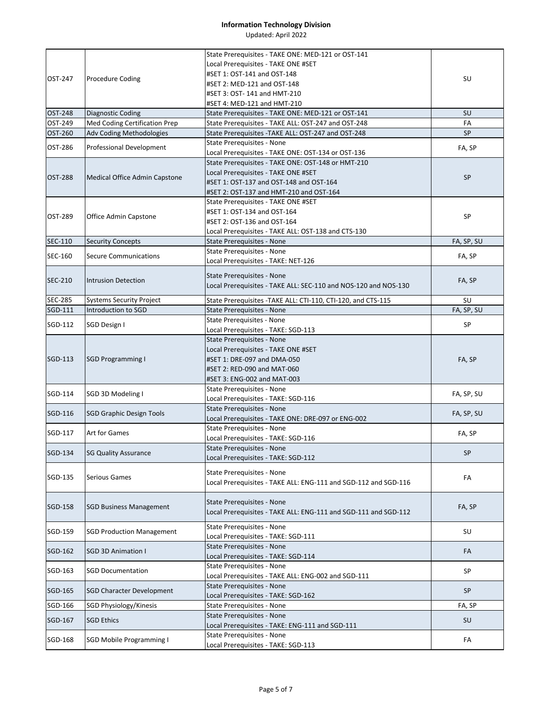|                |                                  | State Prerequisites - TAKE ONE: MED-121 or OST-141                |            |
|----------------|----------------------------------|-------------------------------------------------------------------|------------|
|                |                                  | Local Prerequisites - TAKE ONE #SET                               |            |
| OST-247        | <b>Procedure Coding</b>          | #SET 1: OST-141 and OST-148                                       | SU         |
|                |                                  | #SET 2: MED-121 and OST-148                                       |            |
|                |                                  | #SET 3: OST-141 and HMT-210                                       |            |
|                |                                  | #SET 4: MED-121 and HMT-210                                       |            |
| <b>OST-248</b> | Diagnostic Coding                | State Prerequisites - TAKE ONE: MED-121 or OST-141                | SU         |
| OST-249        | Med Coding Certification Prep    | State Prerequisites - TAKE ALL: OST-247 and OST-248               | FA         |
| OST-260        | Adv Coding Methodologies         | State Prerequisites - TAKE ALL: OST-247 and OST-248               | <b>SP</b>  |
| OST-286        | <b>Professional Development</b>  | State Prerequisites - None                                        | FA, SP     |
|                |                                  | Local Prerequisites - TAKE ONE: OST-134 or OST-136                |            |
|                |                                  | State Prerequisites - TAKE ONE: OST-148 or HMT-210                |            |
| OST-288        | Medical Office Admin Capstone    | Local Prerequisites - TAKE ONE #SET                               | <b>SP</b>  |
|                |                                  | #SET 1: OST-137 and OST-148 and OST-164                           |            |
|                |                                  | #SET 2: OST-137 and HMT-210 and OST-164                           |            |
|                |                                  | State Prerequisites - TAKE ONE #SET                               |            |
| OST-289        | Office Admin Capstone            | #SET 1: OST-134 and OST-164                                       | SP         |
|                |                                  | #SET 2: OST-136 and OST-164                                       |            |
|                |                                  | Local Prerequisites - TAKE ALL: OST-138 and CTS-130               |            |
| SEC-110        | <b>Security Concepts</b>         | State Prerequisites - None                                        | FA, SP, SU |
| SEC-160        | <b>Secure Communications</b>     | State Prerequisites - None                                        | FA, SP     |
|                |                                  | Local Prerequisites - TAKE: NET-126                               |            |
|                |                                  | State Prerequisites - None                                        |            |
| <b>SEC-210</b> | <b>Intrusion Detection</b>       | Local Prerequisites - TAKE ALL: SEC-110 and NOS-120 and NOS-130   | FA, SP     |
|                |                                  |                                                                   |            |
| <b>SEC-285</b> | <b>Systems Security Project</b>  | State Prerequisites - TAKE ALL: CTI-110, CTI-120, and CTS-115     | SU         |
| SGD-111        | Introduction to SGD              | State Prerequisites - None                                        | FA, SP, SU |
| SGD-112        | SGD Design I                     | State Prerequisites - None                                        | SP         |
|                |                                  | Local Prerequisites - TAKE: SGD-113                               |            |
|                |                                  | <b>State Prerequisites - None</b>                                 |            |
|                |                                  | Local Prerequisites - TAKE ONE #SET                               |            |
| SGD-113        | <b>SGD Programming I</b>         | #SET 1: DRE-097 and DMA-050                                       | FA, SP     |
|                |                                  | #SET 2: RED-090 and MAT-060                                       |            |
|                |                                  | #SET 3: ENG-002 and MAT-003                                       |            |
| SGD-114        | SGD 3D Modeling I                | State Prerequisites - None                                        | FA, SP, SU |
|                |                                  | Local Prerequisites - TAKE: SGD-116                               |            |
| SGD-116        | <b>SGD Graphic Design Tools</b>  | <b>State Prerequisites - None</b>                                 | FA, SP, SU |
|                |                                  | Local Prerequisites - TAKE ONE: DRE-097 or ENG-002                |            |
| SGD-117        | Art for Games                    | State Prerequisites - None                                        | FA, SP     |
|                |                                  | Local Prerequisites - TAKE: SGD-116                               |            |
| SGD-134        | <b>SG Quality Assurance</b>      | <b>State Prerequisites - None</b>                                 | SP.        |
|                |                                  | Local Prerequisites - TAKE: SGD-112                               |            |
|                |                                  | <b>State Prerequisites - None</b>                                 |            |
| SGD-135        | Serious Games                    | Local Prerequisites - TAKE ALL: ENG-111 and SGD-112 and SGD-116   | FA         |
|                |                                  |                                                                   |            |
| SGD-158        |                                  | <b>State Prerequisites - None</b>                                 |            |
|                | <b>SGD Business Management</b>   | Local Prerequisites - TAKE ALL: ENG-111 and SGD-111 and SGD-112   | FA, SP     |
|                |                                  |                                                                   |            |
| SGD-159        | <b>SGD Production Management</b> | State Prerequisites - None<br>Local Prerequisites - TAKE: SGD-111 | SU         |
|                |                                  |                                                                   |            |
| SGD-162        | <b>SGD 3D Animation I</b>        | State Prerequisites - None<br>Local Prerequisites - TAKE: SGD-114 | FA         |
|                |                                  | <b>State Prerequisites - None</b>                                 |            |
| SGD-163        | <b>SGD Documentation</b>         |                                                                   | SP         |
|                |                                  | Local Prerequisites - TAKE ALL: ENG-002 and SGD-111               |            |
| SGD-165        | <b>SGD Character Development</b> | State Prerequisites - None                                        | <b>SP</b>  |
|                |                                  | Local Prerequisites - TAKE: SGD-162                               |            |
| SGD-166        | SGD Physiology/Kinesis           | State Prerequisites - None                                        | FA, SP     |
| SGD-167        | <b>SGD Ethics</b>                | State Prerequisites - None                                        | <b>SU</b>  |
|                |                                  | Local Prerequisites - TAKE: ENG-111 and SGD-111                   |            |
| SGD-168        | <b>SGD Mobile Programming I</b>  | State Prerequisites - None                                        | FA         |
|                |                                  | Local Prerequisites - TAKE: SGD-113                               |            |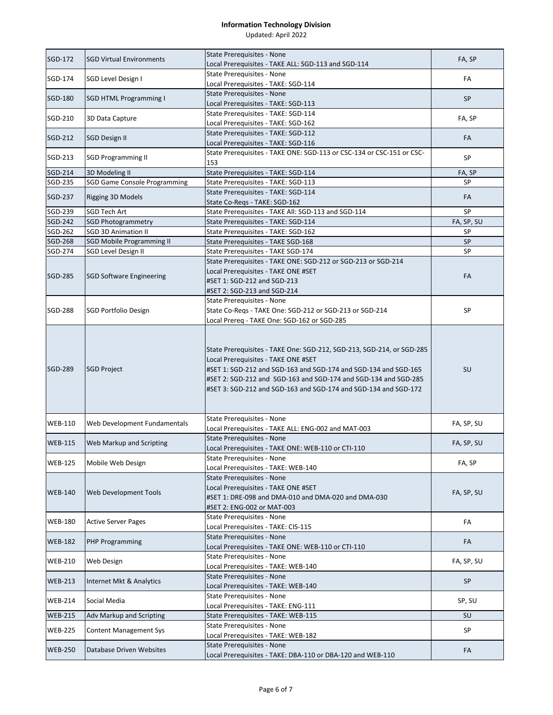| SGD-172        | <b>SGD Virtual Environments</b>     | State Prerequisites - None                                                                                                                                                                                                                                                                                            | FA, SP     |
|----------------|-------------------------------------|-----------------------------------------------------------------------------------------------------------------------------------------------------------------------------------------------------------------------------------------------------------------------------------------------------------------------|------------|
|                |                                     | Local Prerequisites - TAKE ALL: SGD-113 and SGD-114                                                                                                                                                                                                                                                                   |            |
| <b>SGD-174</b> | SGD Level Design I                  | <b>State Prerequisites - None</b>                                                                                                                                                                                                                                                                                     | FA         |
|                |                                     | Local Prerequisites - TAKE: SGD-114                                                                                                                                                                                                                                                                                   |            |
| SGD-180        | <b>SGD HTML Programming I</b>       | State Prerequisites - None                                                                                                                                                                                                                                                                                            | <b>SP</b>  |
|                |                                     | Local Prerequisites - TAKE: SGD-113                                                                                                                                                                                                                                                                                   |            |
| SGD-210        | 3D Data Capture                     | State Prerequisites - TAKE: SGD-114<br>Local Prerequisites - TAKE: SGD-162                                                                                                                                                                                                                                            | FA, SP     |
|                |                                     | State Prerequisites - TAKE: SGD-112                                                                                                                                                                                                                                                                                   |            |
| SGD-212        | <b>SGD Design II</b>                | Local Prerequisites - TAKE: SGD-116                                                                                                                                                                                                                                                                                   | FA         |
|                |                                     | State Prerequisites - TAKE ONE: SGD-113 or CSC-134 or CSC-151 or CSC-                                                                                                                                                                                                                                                 |            |
| SGD-213        | <b>SGD Programming II</b>           | 153                                                                                                                                                                                                                                                                                                                   | SP         |
| SGD-214        | 3D Modeling II                      | State Prerequisites - TAKE: SGD-114                                                                                                                                                                                                                                                                                   | FA, SP     |
| SGD-235        | <b>SGD Game Console Programming</b> | State Prerequisites - TAKE: SGD-113                                                                                                                                                                                                                                                                                   | <b>SP</b>  |
| SGD-237        | Rigging 3D Models                   | State Prerequisites - TAKE: SGD-114<br>State Co-Regs - TAKE: SGD-162                                                                                                                                                                                                                                                  | FA         |
| SGD-239        | SGD Tech Art                        | State Prerequisites - TAKE All: SGD-113 and SGD-114                                                                                                                                                                                                                                                                   | SP         |
| SGD-242        | <b>SGD Photogrammetry</b>           | State Prerequisites - TAKE: SGD-114                                                                                                                                                                                                                                                                                   | FA, SP, SU |
| SGD-262        | <b>SGD 3D Animation II</b>          | State Prerequisites - TAKE: SGD-162                                                                                                                                                                                                                                                                                   | <b>SP</b>  |
| SGD-268        | <b>SGD Mobile Programming II</b>    | State Prerequisites - TAKE SGD-168                                                                                                                                                                                                                                                                                    | SP         |
| SGD-274        | SGD Level Design II                 | State Prerequisites - TAKE SGD-174                                                                                                                                                                                                                                                                                    | SP         |
|                |                                     | State Prerequisites - TAKE ONE: SGD-212 or SGD-213 or SGD-214                                                                                                                                                                                                                                                         |            |
|                |                                     | Local Prerequisites - TAKE ONE #SET                                                                                                                                                                                                                                                                                   |            |
| <b>SGD-285</b> | <b>SGD Software Engineering</b>     | #SET 1: SGD-212 and SGD-213                                                                                                                                                                                                                                                                                           | FA         |
|                |                                     | #SET 2: SGD-213 and SGD-214                                                                                                                                                                                                                                                                                           |            |
|                |                                     | State Prerequisites - None                                                                                                                                                                                                                                                                                            |            |
| SGD-288        | <b>SGD Portfolio Design</b>         | State Co-Regs - TAKE One: SGD-212 or SGD-213 or SGD-214                                                                                                                                                                                                                                                               | SP         |
|                |                                     | Local Prereg - TAKE One: SGD-162 or SGD-285                                                                                                                                                                                                                                                                           |            |
| <b>SGD-289</b> | <b>SGD Project</b>                  | State Prerequisites - TAKE One: SGD-212, SGD-213, SGD-214, or SGD-285<br>Local Prerequisites - TAKE ONE #SET<br>#SET 1: SGD-212 and SGD-163 and SGD-174 and SGD-134 and SGD-165<br>#SET 2: SGD-212 and SGD-163 and SGD-174 and SGD-134 and SGD-285<br>#SET 3: SGD-212 and SGD-163 and SGD-174 and SGD-134 and SGD-172 | <b>SU</b>  |
| <b>WEB-110</b> | Web Development Fundamentals        | State Prerequisites - None<br>Local Prerequisites - TAKE ALL: ENG-002 and MAT-003                                                                                                                                                                                                                                     | FA, SP, SU |
|                |                                     | <b>State Prerequisites - None</b>                                                                                                                                                                                                                                                                                     |            |
| <b>WEB-115</b> | Web Markup and Scripting            | Local Prerequisites - TAKE ONE: WEB-110 or CTI-110                                                                                                                                                                                                                                                                    | FA, SP, SU |
|                |                                     | <b>State Prerequisites - None</b>                                                                                                                                                                                                                                                                                     |            |
| <b>WEB-125</b> | Mobile Web Design                   | Local Prerequisites - TAKE: WEB-140                                                                                                                                                                                                                                                                                   | FA, SP     |
| <b>WEB-140</b> | Web Development Tools               | <b>State Prerequisites - None</b><br>Local Prerequisites - TAKE ONE #SET<br>#SET 1: DRE-098 and DMA-010 and DMA-020 and DMA-030<br>#SET 2: ENG-002 or MAT-003                                                                                                                                                         | FA, SP, SU |
| <b>WEB-180</b> | <b>Active Server Pages</b>          | State Prerequisites - None<br>Local Prerequisites - TAKE: CIS-115                                                                                                                                                                                                                                                     | FA         |
| <b>WEB-182</b> | <b>PHP Programming</b>              | State Prerequisites - None<br>Local Prerequisites - TAKE ONE: WEB-110 or CTI-110                                                                                                                                                                                                                                      | FA         |
|                |                                     | <b>State Prerequisites - None</b>                                                                                                                                                                                                                                                                                     |            |
| <b>WEB-210</b> | Web Design                          | Local Prerequisites - TAKE: WEB-140                                                                                                                                                                                                                                                                                   | FA, SP, SU |
| <b>WEB-213</b> | Internet Mkt & Analytics            | State Prerequisites - None                                                                                                                                                                                                                                                                                            | <b>SP</b>  |
|                |                                     | Local Prerequisites - TAKE: WEB-140<br>State Prerequisites - None                                                                                                                                                                                                                                                     |            |
| <b>WEB-214</b> | Social Media                        | Local Prerequisites - TAKE: ENG-111                                                                                                                                                                                                                                                                                   | SP, SU     |
| <b>WEB-215</b> | Adv Markup and Scripting            | State Prerequisites - TAKE: WEB-115                                                                                                                                                                                                                                                                                   | <b>SU</b>  |
| <b>WEB-225</b> | <b>Content Management Sys</b>       | State Prerequisites - None<br>Local Prerequisites - TAKE: WEB-182                                                                                                                                                                                                                                                     | SP         |
| <b>WEB-250</b> | Database Driven Websites            | State Prerequisites - None<br>Local Prerequisites - TAKE: DBA-110 or DBA-120 and WEB-110                                                                                                                                                                                                                              | FA         |